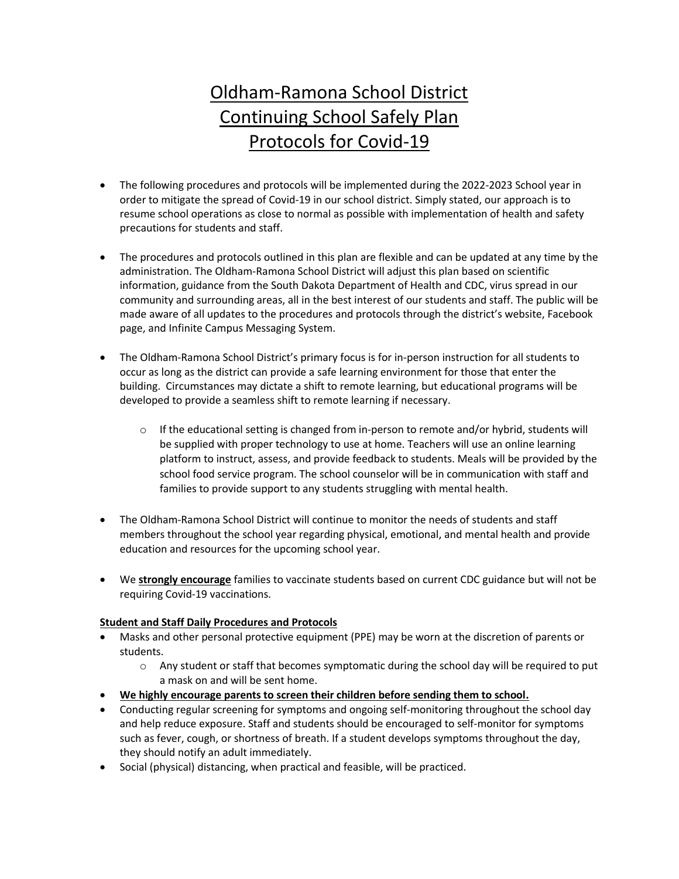# Oldham-Ramona School District Continuing School Safely Plan Protocols for Covid-19

- The following procedures and protocols will be implemented during the 2022-2023 School year in order to mitigate the spread of Covid-19 in our school district. Simply stated, our approach is to resume school operations as close to normal as possible with implementation of health and safety precautions for students and staff.
- The procedures and protocols outlined in this plan are flexible and can be updated at any time by the administration. The Oldham-Ramona School District will adjust this plan based on scientific information, guidance from the South Dakota Department of Health and CDC, virus spread in our community and surrounding areas, all in the best interest of our students and staff. The public will be made aware of all updates to the procedures and protocols through the district's website, Facebook page, and Infinite Campus Messaging System.
- The Oldham-Ramona School District's primary focus is for in-person instruction for all students to occur as long as the district can provide a safe learning environment for those that enter the building. Circumstances may dictate a shift to remote learning, but educational programs will be developed to provide a seamless shift to remote learning if necessary.
	- $\circ$  If the educational setting is changed from in-person to remote and/or hybrid, students will be supplied with proper technology to use at home. Teachers will use an online learning platform to instruct, assess, and provide feedback to students. Meals will be provided by the school food service program. The school counselor will be in communication with staff and families to provide support to any students struggling with mental health.
- The Oldham-Ramona School District will continue to monitor the needs of students and staff members throughout the school year regarding physical, emotional, and mental health and provide education and resources for the upcoming school year.
- We **strongly encourage** families to vaccinate students based on current CDC guidance but will not be requiring Covid-19 vaccinations.

## **Student and Staff Daily Procedures and Protocols**

- Masks and other personal protective equipment (PPE) may be worn at the discretion of parents or students.
	- $\circ$  Any student or staff that becomes symptomatic during the school day will be required to put a mask on and will be sent home.
- **We highly encourage parents to screen their children before sending them to school.**
- Conducting regular screening for symptoms and ongoing self-monitoring throughout the school day and help reduce exposure. Staff and students should be encouraged to self-monitor for symptoms such as fever, cough, or shortness of breath. If a student develops symptoms throughout the day, they should notify an adult immediately.
- Social (physical) distancing, when practical and feasible, will be practiced.